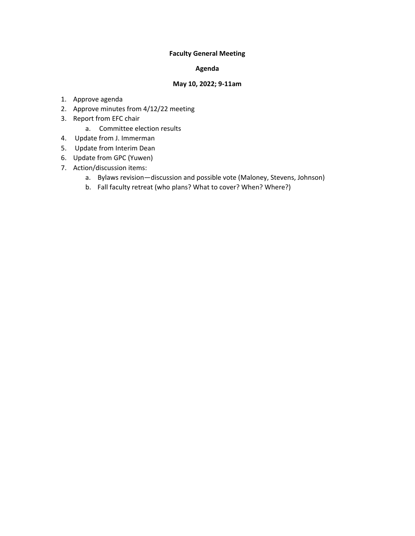## **Faculty General Meeting**

## **Agenda**

#### **May 10, 2022; 9-11am**

- 1. Approve agenda
- 2. Approve minutes from 4/12/22 meeting
- 3. Report from EFC chair
	- a. Committee election results
- 4. Update from J. Immerman
- 5. Update from Interim Dean
- 6. Update from GPC (Yuwen)
- 7. Action/discussion items:
	- a. Bylaws revision—discussion and possible vote (Maloney, Stevens, Johnson)
	- b. Fall faculty retreat (who plans? What to cover? When? Where?)